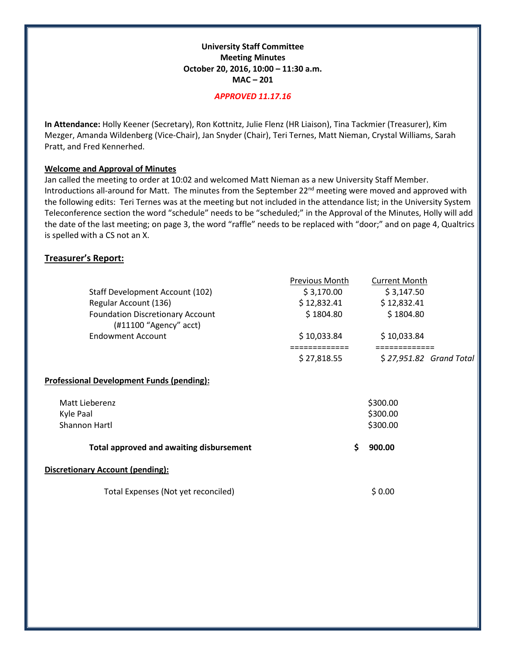# **University Staff Committee Meeting Minutes October 20, 2016, 10:00 – 11:30 a.m. MAC – 201**

#### *APPROVED 11.17.16*

**In Attendance:** Holly Keener (Secretary), Ron Kottnitz, Julie Flenz (HR Liaison), Tina Tackmier (Treasurer), Kim Mezger, Amanda Wildenberg (Vice-Chair), Jan Snyder (Chair), Teri Ternes, Matt Nieman, Crystal Williams, Sarah Pratt, and Fred Kennerhed.

# **Welcome and Approval of Minutes**

Jan called the meeting to order at 10:02 and welcomed Matt Nieman as a new University Staff Member. Introductions all-around for Matt. The minutes from the September 22<sup>nd</sup> meeting were moved and approved with the following edits: Teri Ternes was at the meeting but not included in the attendance list; in the University System Teleconference section the word "schedule" needs to be "scheduled;" in the Approval of the Minutes, Holly will add the date of the last meeting; on page 3, the word "raffle" needs to be replaced with "door;" and on page 4, Qualtrics is spelled with a CS not an X.

# **Treasurer's Report:**

|                                                                     | Previous Month | <b>Current Month</b>    |  |
|---------------------------------------------------------------------|----------------|-------------------------|--|
| Staff Development Account (102)                                     | \$3,170.00     | \$3,147.50              |  |
| Regular Account (136)                                               | \$12,832.41    | \$12,832.41             |  |
| <b>Foundation Discretionary Account</b><br>$(H11100$ "Agency" acct) | \$1804.80      | \$1804.80               |  |
| <b>Endowment Account</b>                                            | \$10,033.84    | \$10,033.84             |  |
|                                                                     |                |                         |  |
|                                                                     | \$27,818.55    | \$27,951.82 Grand Total |  |
| <b>Professional Development Funds (pending):</b>                    |                |                         |  |
| Matt Lieberenz                                                      |                | \$300.00                |  |
| Kyle Paal                                                           |                | \$300.00                |  |
| Shannon Hartl                                                       | \$300.00       |                         |  |
| <b>Total approved and awaiting disbursement</b>                     | \$             | 900.00                  |  |
| <b>Discretionary Account (pending):</b>                             |                |                         |  |
| Total Expenses (Not yet reconciled)                                 |                | \$0.00                  |  |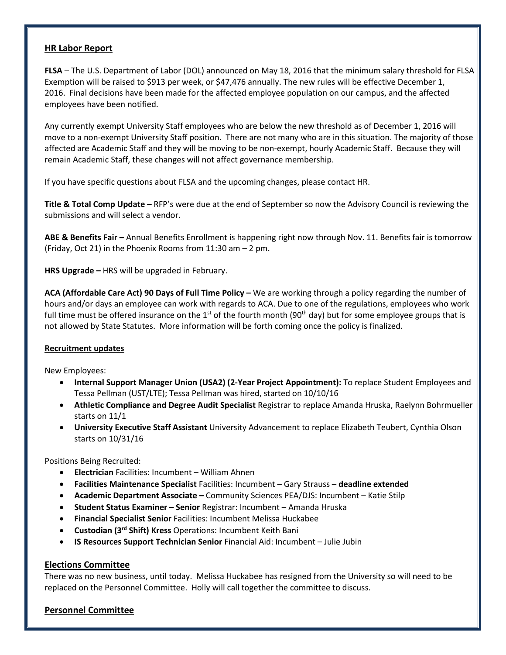# **HR Labor Report**

**FLSA** – The U.S. Department of Labor (DOL) announced on May 18, 2016 that the minimum salary threshold for FLSA Exemption will be raised to \$913 per week, or \$47,476 annually. The new rules will be effective December 1, 2016. Final decisions have been made for the affected employee population on our campus, and the affected employees have been notified.

Any currently exempt University Staff employees who are below the new threshold as of December 1, 2016 will move to a non-exempt University Staff position. There are not many who are in this situation. The majority of those affected are Academic Staff and they will be moving to be non-exempt, hourly Academic Staff. Because they will remain Academic Staff, these changes will not affect governance membership.

If you have specific questions about FLSA and the upcoming changes, please contact HR.

**Title & Total Comp Update –** RFP's were due at the end of September so now the Advisory Council is reviewing the submissions and will select a vendor.

**ABE & Benefits Fair –** Annual Benefits Enrollment is happening right now through Nov. 11. Benefits fair is tomorrow (Friday, Oct 21) in the Phoenix Rooms from 11:30 am – 2 pm.

**HRS Upgrade –** HRS will be upgraded in February.

**ACA (Affordable Care Act) 90 Days of Full Time Policy –** We are working through a policy regarding the number of hours and/or days an employee can work with regards to ACA. Due to one of the regulations, employees who work full time must be offered insurance on the 1<sup>st</sup> of the fourth month (90<sup>th</sup> day) but for some employee groups that is not allowed by State Statutes. More information will be forth coming once the policy is finalized.

# **Recruitment updates**

New Employees:

- **Internal Support Manager Union (USA2) (2-Year Project Appointment):** To replace Student Employees and Tessa Pellman (UST/LTE); Tessa Pellman was hired, started on 10/10/16
- **Athletic Compliance and Degree Audit Specialist** Registrar to replace Amanda Hruska, Raelynn Bohrmueller starts on 11/1
- **University Executive Staff Assistant** University Advancement to replace Elizabeth Teubert, Cynthia Olson starts on 10/31/16

Positions Being Recruited:

- **Electrician** Facilities: Incumbent William Ahnen
- **Facilities Maintenance Specialist** Facilities: Incumbent Gary Strauss **deadline extended**
- **Academic Department Associate –** Community Sciences PEA/DJS: Incumbent Katie Stilp
- **Student Status Examiner – Senior** Registrar: Incumbent Amanda Hruska
- **Financial Specialist Senior** Facilities: Incumbent Melissa Huckabee
- **Custodian (3rd Shift) Kress** Operations: Incumbent Keith Bani
- **IS Resources Support Technician Senior** Financial Aid: Incumbent Julie Jubin

#### **Elections Committee**

There was no new business, until today. Melissa Huckabee has resigned from the University so will need to be replaced on the Personnel Committee. Holly will call together the committee to discuss.

#### **Personnel Committee**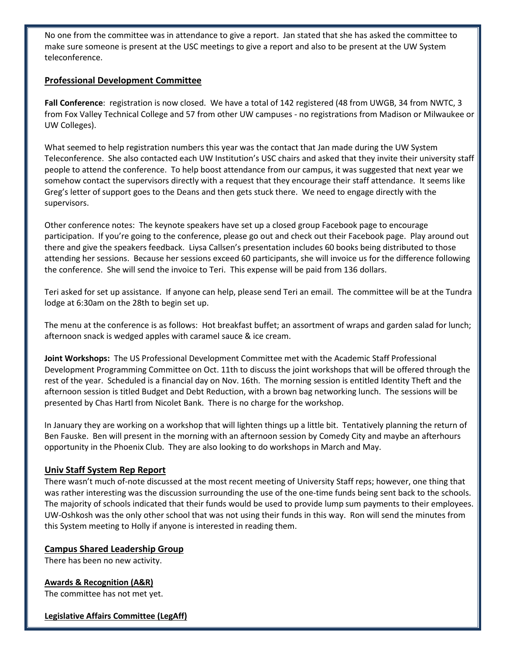No one from the committee was in attendance to give a report. Jan stated that she has asked the committee to make sure someone is present at the USC meetings to give a report and also to be present at the UW System teleconference.

# **Professional Development Committee**

**Fall Conference**: registration is now closed. We have a total of 142 registered (48 from UWGB, 34 from NWTC, 3 from Fox Valley Technical College and 57 from other UW campuses - no registrations from Madison or Milwaukee or UW Colleges).

What seemed to help registration numbers this year was the contact that Jan made during the UW System Teleconference. She also contacted each UW Institution's USC chairs and asked that they invite their university staff people to attend the conference. To help boost attendance from our campus, it was suggested that next year we somehow contact the supervisors directly with a request that they encourage their staff attendance. It seems like Greg's letter of support goes to the Deans and then gets stuck there. We need to engage directly with the supervisors.

Other conference notes: The keynote speakers have set up a closed group Facebook page to encourage participation. If you're going to the conference, please go out and check out their Facebook page. Play around out there and give the speakers feedback. Liysa Callsen's presentation includes 60 books being distributed to those attending her sessions. Because her sessions exceed 60 participants, she will invoice us for the difference following the conference. She will send the invoice to Teri. This expense will be paid from 136 dollars.

Teri asked for set up assistance. If anyone can help, please send Teri an email. The committee will be at the Tundra lodge at 6:30am on the 28th to begin set up.

The menu at the conference is as follows: Hot breakfast buffet; an assortment of wraps and garden salad for lunch; afternoon snack is wedged apples with caramel sauce & ice cream.

**Joint Workshops:** The US Professional Development Committee met with the Academic Staff Professional Development Programming Committee on Oct. 11th to discuss the joint workshops that will be offered through the rest of the year. Scheduled is a financial day on Nov. 16th. The morning session is entitled Identity Theft and the afternoon session is titled Budget and Debt Reduction, with a brown bag networking lunch. The sessions will be presented by Chas Hartl from Nicolet Bank. There is no charge for the workshop.

In January they are working on a workshop that will lighten things up a little bit. Tentatively planning the return of Ben Fauske. Ben will present in the morning with an afternoon session by Comedy City and maybe an afterhours opportunity in the Phoenix Club. They are also looking to do workshops in March and May.

# **Univ Staff System Rep Report**

There wasn't much of-note discussed at the most recent meeting of University Staff reps; however, one thing that was rather interesting was the discussion surrounding the use of the one-time funds being sent back to the schools. The majority of schools indicated that their funds would be used to provide lump sum payments to their employees. UW-Oshkosh was the only other school that was not using their funds in this way. Ron will send the minutes from this System meeting to Holly if anyone is interested in reading them.

# **Campus Shared Leadership Group**

There has been no new activity.

# **Awards & Recognition (A&R)**

The committee has not met yet.

# **Legislative Affairs Committee (LegAff)**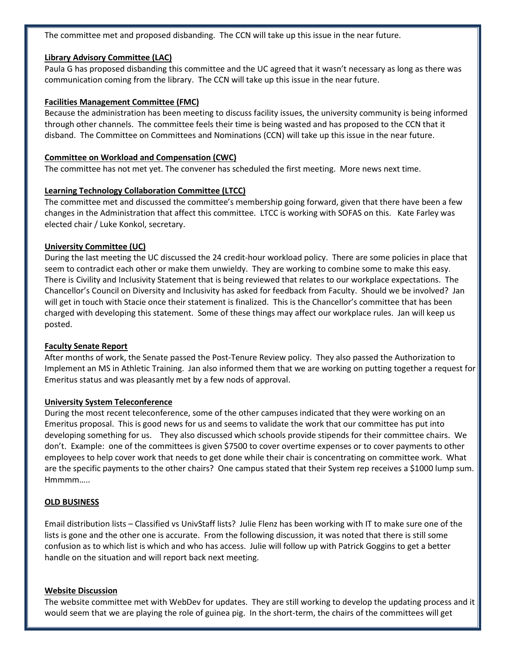The committee met and proposed disbanding. The CCN will take up this issue in the near future.

#### **Library Advisory Committee (LAC)**

Paula G has proposed disbanding this committee and the UC agreed that it wasn't necessary as long as there was communication coming from the library. The CCN will take up this issue in the near future.

#### **Facilities Management Committee (FMC)**

Because the administration has been meeting to discuss facility issues, the university community is being informed through other channels. The committee feels their time is being wasted and has proposed to the CCN that it disband. The Committee on Committees and Nominations (CCN) will take up this issue in the near future.

#### **Committee on Workload and Compensation (CWC)**

The committee has not met yet. The convener has scheduled the first meeting. More news next time.

# **Learning Technology Collaboration Committee (LTCC)**

The committee met and discussed the committee's membership going forward, given that there have been a few changes in the Administration that affect this committee. LTCC is working with SOFAS on this. Kate Farley was elected chair / Luke Konkol, secretary.

# **University Committee (UC)**

During the last meeting the UC discussed the 24 credit-hour workload policy. There are some policies in place that seem to contradict each other or make them unwieldy. They are working to combine some to make this easy. There is Civility and Inclusivity Statement that is being reviewed that relates to our workplace expectations. The Chancellor's Council on Diversity and Inclusivity has asked for feedback from Faculty. Should we be involved? Jan will get in touch with Stacie once their statement is finalized. This is the Chancellor's committee that has been charged with developing this statement. Some of these things may affect our workplace rules. Jan will keep us posted.

# **Faculty Senate Report**

After months of work, the Senate passed the Post-Tenure Review policy. They also passed the Authorization to Implement an MS in Athletic Training. Jan also informed them that we are working on putting together a request for Emeritus status and was pleasantly met by a few nods of approval.

#### **University System Teleconference**

During the most recent teleconference, some of the other campuses indicated that they were working on an Emeritus proposal. This is good news for us and seems to validate the work that our committee has put into developing something for us. They also discussed which schools provide stipends for their committee chairs. We don't. Example: one of the committees is given \$7500 to cover overtime expenses or to cover payments to other employees to help cover work that needs to get done while their chair is concentrating on committee work. What are the specific payments to the other chairs? One campus stated that their System rep receives a \$1000 lump sum. Hmmmm…..

# **OLD BUSINESS**

Email distribution lists – Classified vs UnivStaff lists? Julie Flenz has been working with IT to make sure one of the lists is gone and the other one is accurate. From the following discussion, it was noted that there is still some confusion as to which list is which and who has access. Julie will follow up with Patrick Goggins to get a better handle on the situation and will report back next meeting.

#### **Website Discussion**

The website committee met with WebDev for updates. They are still working to develop the updating process and it would seem that we are playing the role of guinea pig. In the short-term, the chairs of the committees will get